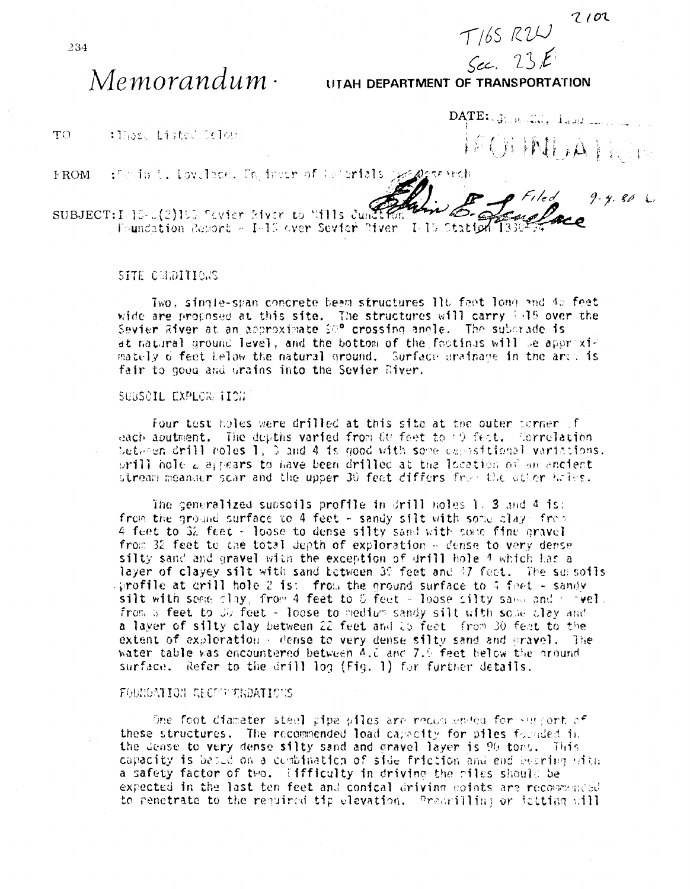$T/65 R2U$  2102

# $Memorandum \cdot$

# $Sec. 23E$ UTAH DEPARTMENT OF TRANSPORTATION

TO. : Those listed Selon

DATE: GUINEAU, Land FECH PALLA LIGHT

**FROM** fundad. Lov.Toce. Tarinter of teterials geographich

SUBJECT:I-15-0(2)105 favior kiver to "dlls June Foundation Report - I-13 over Sevier River I-10 Station 1330

## SITE CONDITIONS

Two, single-span concrete beam structures ll6 fact long and 45 feet wide are proposed at this site. The structures will carry 1.15 over the Sevier River at an approximate SO<sup>o</sup> crossing angle. The subcrade is at natural ground level, and the bottom of the footinus will be approximately 6 feet below the natural ground. Surface prainage in the area is fair to good and drains into the Sevier River.

### SUBSOIL EXPLORETION

Four test holes were drilled at this site at the outer corner of each aputment. The depths varied from 60 feet to 80 fect. Correlation betwhen drill noles  $1$ , 3 and 4 is good with some depositional variations. prill hole a appears to have been drilled at the location of an ancient stream meander scartand the upper 30 feet differs from the other holes.

The generalized subsoils profile in  $drill$  holes 1, 3 and 4 is: from the ground surface to 4 feet - sandy silt with some clay. from 4 feet to 32 feet - loose to dense silty sand with some fine gravel from 32 feet to the total depth of exploration - dense to very dense silty sand and gravel with the exception of drill hole 4 which has a layer of clayey silt with sand between 39 feet and 47 feet. The sursofis sprofile at crill hole 2 is: from the ground surface to 4 feet - sandy<br>silt with some clay, from 4 feet to 8 feet - loose silty same and corvel. from a feet to JU feet - loose to medium sandy silt with some clay and a layer of silty clay between 22 feet and 15 feet. from 30 feet to the extent of exploration - dense to very dense silty sand and gravel. The water table was encountered between 4.0 and 7.9 feet below the ground surface. Refer to the drill log (Fig. 1) for further details.

#### FOUNDATION RECOUNTREDATIONS

One foot diameter steel pipe piles are recommended for suggert of these structures. The recommended load capacity for piles founded in the dense to very dense silty sand and gravel layer is 90 tons. This capacity is based on a combination of side friction and end bearing With a safety factor of two. [ifficulty in driving the riles should be expected in the last ten feet and conical driving points are recommended to penetrate to the required tip elevation. Predrilling or initiag will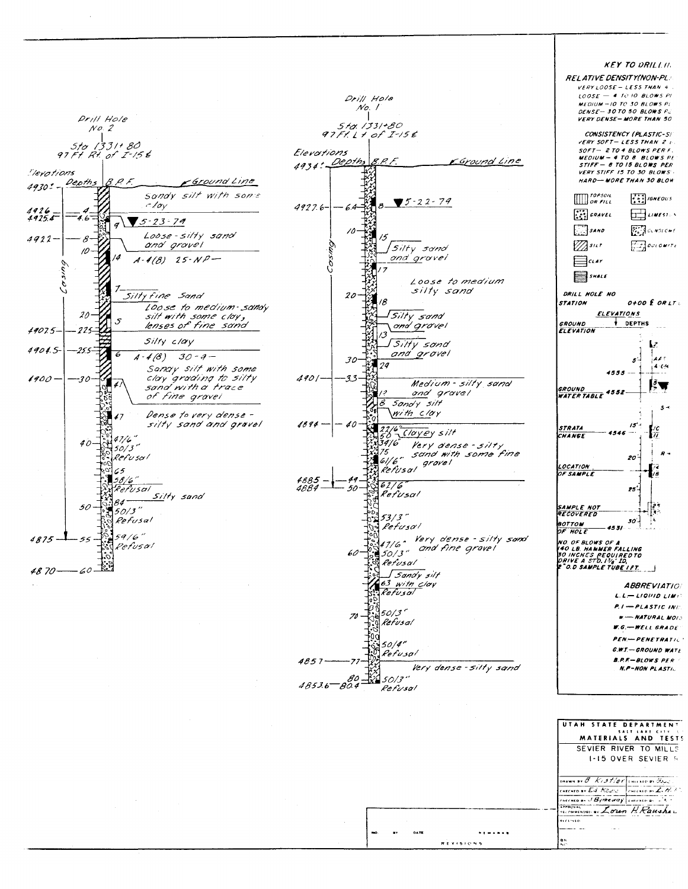